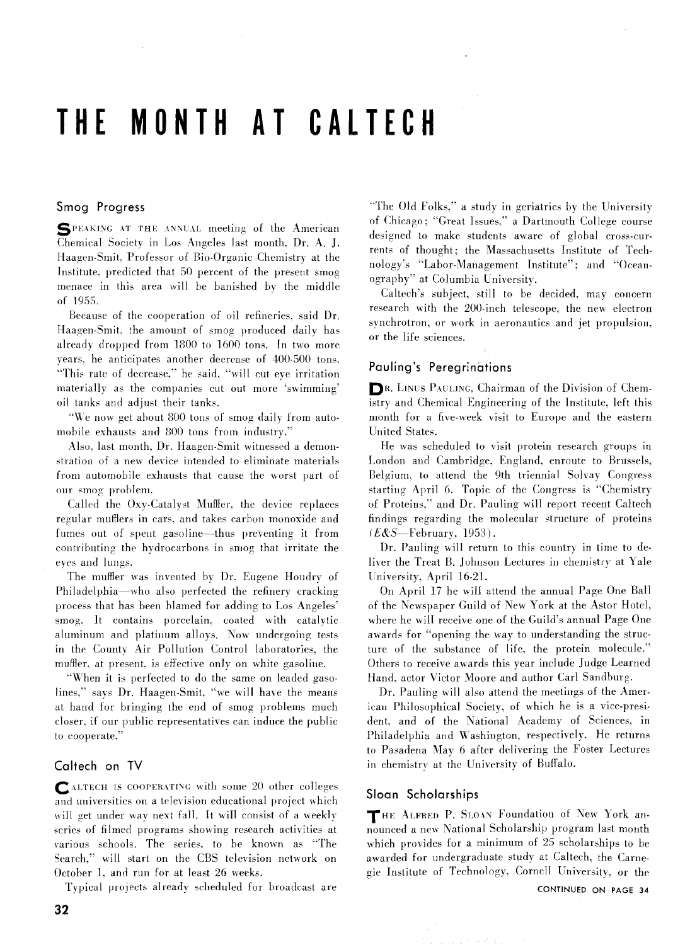## THE MONTH AT CALTECH

## **Smog Progress**

SPEAKING AT THE ANNUAL meeting of the American Chemical Society in Los Angeles last month, Dr. A. J. Haagen-Smit. Professor of Bio-Organic Chemistry at the Institute. predicted that 50 percent of the present smog menace in this area will be banished by the middle of 1955.

Because of the cooperation of oil refineries. said Dr. Haagen-Smit, the amount of smog produced daily has already dropped from 1800 to 1600 tons. In two more years. he anticipates another decrease of 100-500 tons. "This rate of decrease," he said, "will cut eye irritation materially as the companies cut out more 'swimming' oil tanks and adjust their tanks.

"We now get about 800 tons of smog daily from automobile exhausts and 800 tons from industry."

Also, last month, Dr. Haagen-Smit witnessed a demonstration of a new device intended to eliminate materials from automobile exhausts that cause the worst part of our smog problem.

 $Called$  the Oxy-Catalyst Muffler, the device replaces regular mufflers in cars, and takes carbon monoxide and fumes out of spent gasoline-thus preventing it from contributing the hydrocarbons in smog that irritate the eyes and lungs.

The muffler was invented by Dr. Eugene Houdry of Philadelphia--who also perfected the refinery cracking process that has been blamed for adding to Los Angeles' smog. It contains porcelain. coated with catalytic aluminum and platinum alloys. Now undergoing tests in the County Air Pollution Control laboratories. the muffler. at present. is effective only on white gasoline.

"When it is perfected to do the same on leaded gasolines," says Dr. Haagen-Smit. "we will have the means at hand for bringing the end of smog problems much closer. if our public representatives can induce the public to cooperate.

#### **Caltech on TV**

CALTECH IS COOPERATING with some 20 other colleges and universities on a television educational project which will get under way next fall. It will consist of a weekly series of filmed programs showing research activities at various schools. The series, to be known as "The Search," will start on the CBS television network on October 1, and run for at least 26 weeks.

Typical projects already scheduled for broadcast are

"The Old Folks," a study in geriatrics by the University of Chicago; "Great Issues.'" a Dartmouth College course designed to make students aware of global cross-currents of thought; the Massachusetts Institute of Technology's "Labor-Management Institute"; and "Oceanography" at Columbia University.

Caltech's subject, still to be decided, may concern research with the 200-inch telescope, the new electron synchrotron. or work in aeronautics and jet propulsion. or the life sciences.

#### **Pauling's Peregrinations**

**DR.** LINUS PAULING, Chairman of the Division of Chemistry and Chemical Engineering of the Institute, left this month for a five-week visit to Europe and the eastern Lnited States.

He was scheduled to visit protein research groups in London and Cambridge, England, enroute to Brussels, Belgium, to attend the 9th triennial Solvay Congress starting April 6. Topic of the Congress is "Chemistry of Proteins," and Dr. Pauling will report recent Caltech findings regarding the molecular structure of proteins  $(E&S$ -February, 1953).

Dr. Pauling will return to this country in time to deliver the Treat B. Johnson Lectures in chemistry at Yale University, April 16-21.

On 4pril 17 he will attend the annual Page One Ball of the Newspaper Guild of New York at the Astor Hotel. where he will receive one of the Guild's annual Page One awards for '"opening the way to understanding the structure of the substance of life, the protein molecule." Others to receive awards this year include Judge Learned Hand. actor Victor Moore and author Carl Sandburg.

Dr. Pauling will also attend the meetings of the American Philosophical Society of which he **is** a vice-president, and of the National Academy of Sciences, in Philadelphia and Washington, respectively. He returns to Pasadena May 6 after delivering the Foster Lectures in chemistry at the University of Buffalo.

#### **Sloan Scholarships**

THE ALFRED P. SLOAN Foundation of New York announced a new National Scholarship program last month which provides for a minimum of 25 scholarships to be awarded for undergraduate study at Caltech, the Carnegie Institute of Technology, Cornell University, or the

**CONTINUED ON PAGE 34**